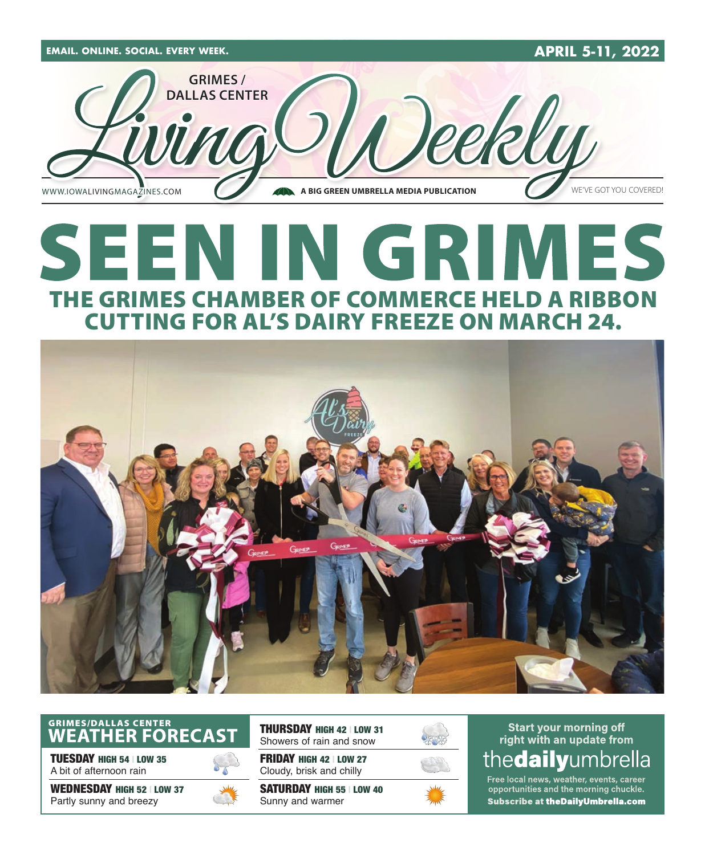

## SEEN IN GRIMES THE GRIMES CHAMBER OF COMMERCE HELD A RIBBON CUTTING FOR AL'S DAIRY FREEZE ON MARCH 24.



### GRIMES/DALLAS CENTER<br>WEATHER FORECAST

TUESDAY HIGH 54 | LOW 35 A bit of afternoon rain

WEDNESDAY HIGH 52 | LOW 37 Partly sunny and breezy



THURSDAY HIGH 42 | LOW 31 Showers of rain and snow

FRIDAY HIGH 42 | LOW 27 Cloudy, brisk and chilly

SATURDAY HIGH 55 | LOW 40 Sunny and warmer



#### **Start your morning off** right with an update from the**daily**umbrella

Free local news, weather, events, career opportunities and the morning chuckle. Subscribe at theDailyUmbrella.com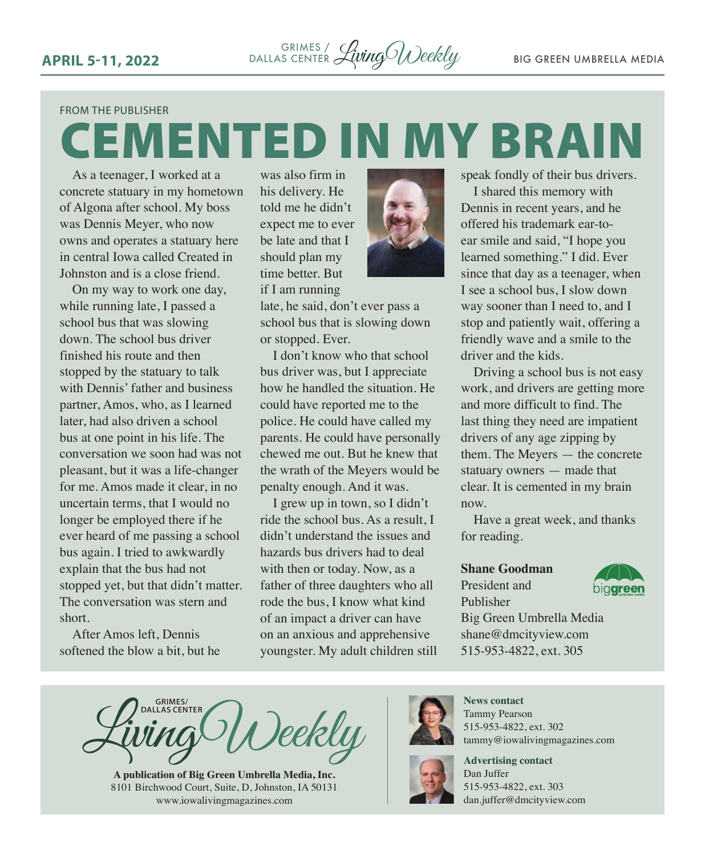#### FROM THE PUBLISHER

## CEMENTED IN MY BRAIN

As a teenager, I worked at a concrete statuary in my hometown of Algona after school. My boss was Dennis Meyer, who now owns and operates a statuary here in central Iowa called Created in Johnston and is a close friend.

On my way to work one day, while running late, I passed a school bus that was slowing down. The school bus driver finished his route and then stopped by the statuary to talk with Dennis' father and business partner, Amos, who, as I learned later, had also driven a school bus at one point in his life. The conversation we soon had was not pleasant, but it was a life-changer for me. Amos made it clear, in no uncertain terms, that I would no longer be employed there if he ever heard of me passing a school bus again. I tried to awkwardly explain that the bus had not stopped yet, but that didn't matter. The conversation was stern and short.

After Amos left, Dennis softened the blow a bit, but he

was also firm in his delivery. He told me he didn't expect me to ever be late and that I should plan my time better. But

if I am running

late, he said, don't ever pass a school bus that is slowing down or stopped. Ever.

I don't know who that school bus driver was, but I appreciate how he handled the situation. He could have reported me to the police. He could have called my parents. He could have personally chewed me out. But he knew that the wrath of the Meyers would be penalty enough. And it was.

I grew up in town, so I didn't ride the school bus. As a result, I didn't understand the issues and hazards bus drivers had to deal with then or today. Now, as a father of three daughters who all rode the bus, I know what kind of an impact a driver can have on an anxious and apprehensive youngster. My adult children still



I shared this memory with Dennis in recent years, and he offered his trademark ear-toear smile and said, "I hope you learned something." I did. Ever since that day as a teenager, when I see a school bus, I slow down way sooner than I need to, and I stop and patiently wait, offering a friendly wave and a smile to the driver and the kids.

Driving a school bus is not easy work, and drivers are getting more and more difficult to find. The last thing they need are impatient drivers of any age zipping by them. The Meyers — the concrete statuary owners — made that clear. It is cemented in my brain now.

Have a great week, and thanks for reading.

#### **Shane Goodman**

President and Publisher



Big Green Umbrella Media shane@dmcityview.com 515-953-4822, ext. 305

**CRIMES/ DALLAS CENTER DALLAS CENTER D** )eekly

**A publication of Big Green Umbrella Media, Inc.** 8101 Birchwood Court, Suite, D, Johnston, IA 50131 www.iowalivingmagazines.com



Tammy Pearson 515-953-4822, ext. 302 tammy@iowalivingmagazines.com



**Advertising contact** Dan Juffer 515-953-4822, ext. 303 [dan.juffer@dmcityview.com](mailto:dan.juffer@dmcityview.com)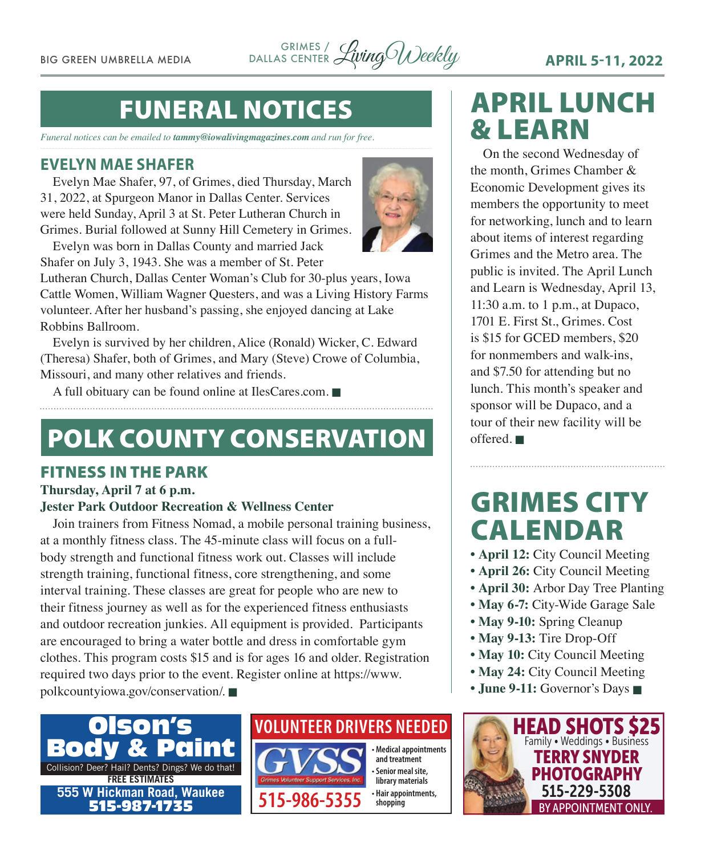BIG GREEN UMBRELLA MEDIA LivingWeekly **APRIL 5-11, 2022** GRIMES / DALLAS CENTER

### FUNERAL NOTICES

*Funeral notices can be emailed to tammy@iowalivingmagazines.com and run for free.*

#### **EVELYN MAE SHAFER**

Evelyn Mae Shafer, 97, of Grimes, died Thursday, March 31, 2022, at Spurgeon Manor in Dallas Center. Services were held Sunday, April 3 at St. Peter Lutheran Church in Grimes. Burial followed at Sunny Hill Cemetery in Grimes.

Evelyn was born in Dallas County and married Jack Shafer on July 3, 1943. She was a member of St. Peter



Lutheran Church, Dallas Center Woman's Club for 30-plus years, Iowa Cattle Women, William Wagner Questers, and was a Living History Farms volunteer. After her husband's passing, she enjoyed dancing at Lake Robbins Ballroom.

Evelyn is survived by her children, Alice (Ronald) Wicker, C. Edward (Theresa) Shafer, both of Grimes, and Mary (Steve) Crowe of Columbia, Missouri, and many other relatives and friends.

A full obituary can be found online at [IlesCares.com.](http://IlesCares.com)  $\blacksquare$ 

### POLK COUNTY CONSERVATION

#### FITNESS IN THE PARK

#### **Thursday, April 7 at 6 p.m.**

#### **Jester Park Outdoor Recreation & Wellness Center**

Join trainers from Fitness Nomad, a mobile personal training business, at a monthly fitness class. The 45-minute class will focus on a fullbody strength and functional fitness work out. Classes will include strength training, functional fitness, core strengthening, and some interval training. These classes are great for people who are new to their fitness journey as well as for the experienced fitness enthusiasts and outdoor recreation junkies. All equipment is provided. Participants are encouraged to bring a water bottle and dress in comfortable gym clothes. This program costs \$15 and is for ages 16 and older. Registration required two days prior to the event. Register online at [https://www.](https://www.polkcountyiowa.gov/conservation/) [polkcountyiowa.gov/conservation/.](https://www.polkcountyiowa.gov/conservation/)



#### **VOLUNTEER DRIVERS NEEDED**



APRIL LUNCH & LEARN On the second Wednesday of

the month, Grimes Chamber & Economic Development gives its members the opportunity to meet for networking, lunch and to learn about items of interest regarding Grimes and the Metro area. The public is invited. The April Lunch and Learn is Wednesday, April 13, 11:30 a.m. to 1 p.m., at Dupaco, 1701 E. First St., Grimes. Cost is \$15 for GCED members, \$20 for nonmembers and walk-ins, and \$7.50 for attending but no lunch. This month's speaker and sponsor will be Dupaco, and a tour of their new facility will be offered.  $\blacksquare$ 

### GRIMES CITY CALENDAR

- **April 12:** City Council Meeting
- **April 26:** City Council Meeting
- **April 30:** Arbor Day Tree Planting
- **May 6-7:** City-Wide Garage Sale
- May 9-10: Spring Cleanup
- **May 9-13:** Tire Drop-Off
- May 10: City Council Meeting
- May 24: City Council Meeting
- June 9-11: Governor's Days

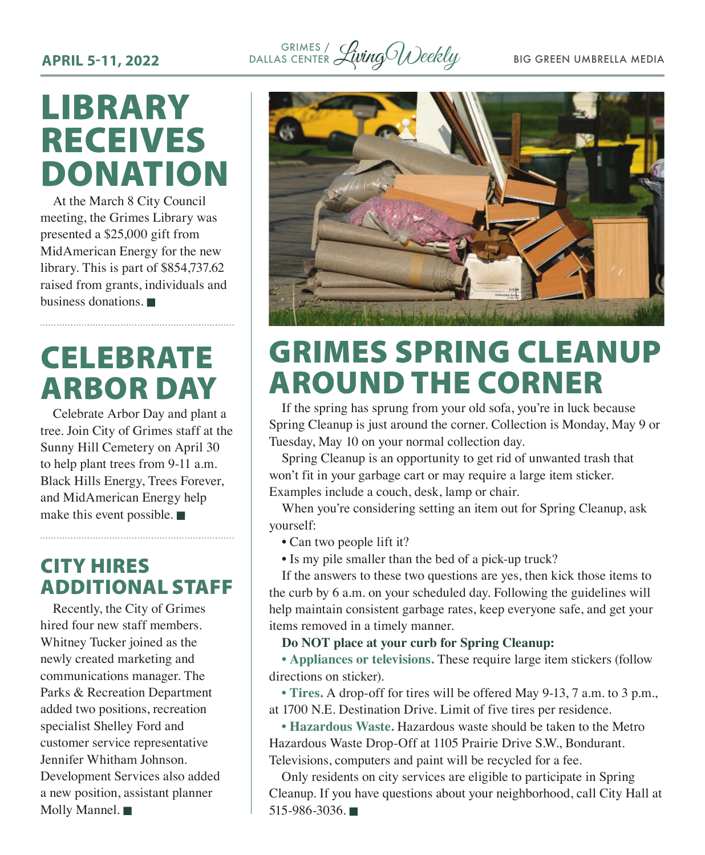<sup>GRIMES</sup>/ WingO Weekly BIG GREEN UMBRELLA MEDIA DALLAS CENTER

### LIBRARY RECEIVES DONATION

At the March 8 City Council meeting, the Grimes Library was presented a \$25,000 gift from MidAmerican Energy for the new library. This is part of \$854,737.62 raised from grants, individuals and business donations.  $\blacksquare$ 

### **CELEBRATE** ARBOR DAY

Celebrate Arbor Day and plant a tree. Join City of Grimes staff at the Sunny Hill Cemetery on April 30 to help plant trees from 9-11 a.m. Black Hills Energy, Trees Forever, and MidAmerican Energy help make this event possible.  $\blacksquare$ 

### CITY HIRES ADDITIONAL STAFF

Recently, the City of Grimes hired four new staff members. Whitney Tucker joined as the newly created marketing and communications manager. The Parks & Recreation Department added two positions, recreation specialist Shelley Ford and customer service representative Jennifer Whitham Johnson. Development Services also added a new position, assistant planner Molly Mannel.



### GRIMES SPRING CLEANUP AROUND THE CORNER

If the spring has sprung from your old sofa, you're in luck because Spring Cleanup is just around the corner. Collection is Monday, May 9 or Tuesday, May 10 on your normal collection day.

Spring Cleanup is an opportunity to get rid of unwanted trash that won't fit in your garbage cart or may require a large item sticker. Examples include a couch, desk, lamp or chair.

When you're considering setting an item out for Spring Cleanup, ask yourself:

- Can two people lift it?
- Is my pile smaller than the bed of a pick-up truck?

If the answers to these two questions are yes, then kick those items to the curb by 6 a.m. on your scheduled day. Following the guidelines will help maintain consistent garbage rates, keep everyone safe, and get your items removed in a timely manner.

**Do NOT place at your curb for Spring Cleanup:** 

**• Appliances or televisions.** These require large item stickers (follow directions on sticker).

**• Tires.** A drop-off for tires will be offered May 9-13, 7 a.m. to 3 p.m., at 1700 N.E. Destination Drive. Limit of five tires per residence.

**• Hazardous Waste.** Hazardous waste should be taken to the Metro Hazardous Waste Drop-Off at 1105 Prairie Drive S.W., Bondurant. Televisions, computers and paint will be recycled for a fee.

Only residents on city services are eligible to participate in Spring Cleanup. If you have questions about your neighborhood, call City Hall at  $515-986-3036$ .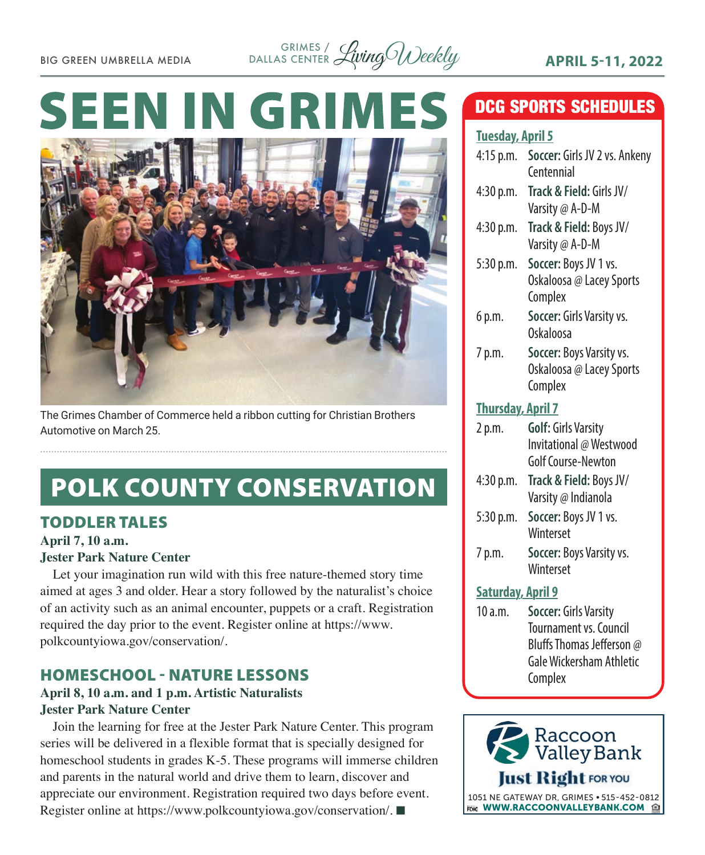

# **SEEN IN GRIN**



The Grimes Chamber of Commerce held a ribbon cutting for Christian Brothers Automotive on March 25.

### POLK COUNTY CONSERVATION

#### TODDLER TALES

**April 7, 10 a.m.**

#### **Jester Park Nature Center**

Let your imagination run wild with this free nature-themed story time aimed at ages 3 and older. Hear a story followed by the naturalist's choice of an activity such as an animal encounter, puppets or a craft. Registration required the day prior to the event. Register online at [https://www.](https://www.polkcountyiowa.gov/conservation/) [polkcountyiowa.gov/conservation/](https://www.polkcountyiowa.gov/conservation/).

#### HOMESCHOOL - NATURE LESSONS

#### **April 8, 10 a.m. and 1 p.m. Artistic Naturalists Jester Park Nature Center**

Join the learning for free at the Jester Park Nature Center. This program series will be delivered in a flexible format that is specially designed for homeschool students in grades K-5. These programs will immerse children and parents in the natural world and drive them to learn, discover and appreciate our environment. Registration required two days before event. Register online at [https://www.polkcountyiowa.gov/conservation/.](https://www.polkcountyiowa.gov/conservation/) ■

### DCG SPORTS SCHEDULES

#### **Tuesday, April 5**

| <u>income ji nivîm s</u> |                               |
|--------------------------|-------------------------------|
| $4:15$ p.m.              | Soccer: Girls JV 2 vs. Ankeny |
|                          | Centennial                    |
| 4:30 p.m.                | Track & Field: Girls JV/      |
|                          | Varsity @ A-D-M               |
| 4:30 p.m.                | Track & Field: Boys JV/       |
|                          | Varsity @ A-D-M               |
| 5:30 p.m.                | Soccer: Boys JV 1 vs.         |
|                          | Oskaloosa @ Lacey Sports      |
|                          | Complex                       |
| 6 p.m.                   | Soccer: Girls Varsity vs.     |
|                          | Oskaloosa                     |
| 7 p.m.                   | Soccer: Boys Varsity vs.      |
|                          | Oskaloosa @ Lacey Sports      |
|                          | Complex                       |
|                          |                               |
| <b>Thursday, April 7</b> |                               |
| 2 p.m.                   | <b>Golf: Girls Varsity</b>    |
|                          | Invitational @ Westwood       |
|                          | Golf Course-Newton            |
| 4:30 p.m.                | Track & Field: Boys JV/       |
|                          | Varsity @ Indianola           |
| 5:30 p.m.                | Soccer: Boys JV 1 vs.         |
|                          | Winterset                     |
| 7 p.m.                   | Soccer: Boys Varsity vs.      |
|                          | Winterset                     |
| <b>Saturday, April 9</b> |                               |
| 10a.m.                   | Soccer: Girls Varsity         |
|                          | <b>Tournament vs. Council</b> |
|                          |                               |

Bluffs Thomas Jefferson @ Gale Wickersham Athletic **Complex** 

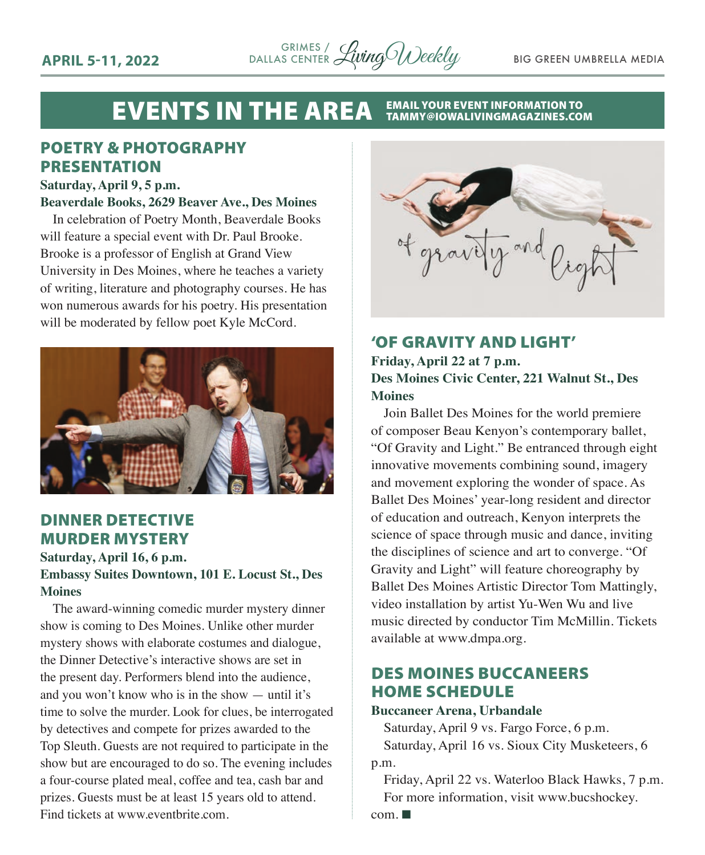

#### EVENTS IN THE AREA EMAIL YOUR EVENT INFORMATION TO TAMMY@IOWALIVINGMAGAZINES.COM

#### POETRY & PHOTOGRAPHY PRESENTATION

#### **Saturday, April 9, 5 p.m.**

#### **Beaverdale Books, 2629 Beaver Ave., Des Moines**

In celebration of Poetry Month, Beaverdale Books will feature a special event with Dr. Paul Brooke. Brooke is a professor of English at Grand View University in Des Moines, where he teaches a variety of writing, literature and photography courses. He has won numerous awards for his poetry. His presentation will be moderated by fellow poet Kyle McCord.



#### DINNER DETECTIVE MURDER MYSTERY

#### **Saturday, April 16, 6 p.m. Embassy Suites Downtown, 101 E. Locust St., Des Moines**

The award-winning comedic murder mystery dinner show is coming to Des Moines. Unlike other murder mystery shows with elaborate costumes and dialogue, the Dinner Detective's interactive shows are set in the present day. Performers blend into the audience, and you won't know who is in the show — until it's time to solve the murder. Look for clues, be interrogated by detectives and compete for prizes awarded to the Top Sleuth. Guests are not required to participate in the show but are encouraged to do so. The evening includes a four-course plated meal, coffee and tea, cash bar and prizes. Guests must be at least 15 years old to attend. Find tickets at [www.eventbrite.com](http://www.eventbrite.com).



#### 'OF GRAVITY AND LIGHT'

#### **Friday, April 22 at 7 p.m. Des Moines Civic Center, 221 Walnut St., Des Moines**

Join Ballet Des Moines for the world premiere of composer Beau Kenyon's contemporary ballet, "Of Gravity and Light." Be entranced through eight innovative movements combining sound, imagery and movement exploring the wonder of space. As Ballet Des Moines' year-long resident and director of education and outreach, Kenyon interprets the science of space through music and dance, inviting the disciplines of science and art to converge. "Of Gravity and Light" will feature choreography by Ballet Des Moines Artistic Director Tom Mattingly, video installation by artist Yu-Wen Wu and live music directed by conductor Tim McMillin. Tickets available at [www.dmpa.org.](http://www.dmpa.org)

#### DES MOINES BUCCANEERS HOME SCHEDULE

#### **Buccaneer Arena, Urbandale**

Saturday, April 9 vs. Fargo Force, 6 p.m. Saturday, April 16 vs. Sioux City Musketeers, 6 p.m.

Friday, April 22 vs. Waterloo Black Hawks, 7 p.m. For more information, visit [www.bucshockey.](http://www.bucshockey.com)

 $com. \blacksquare$  $com. \blacksquare$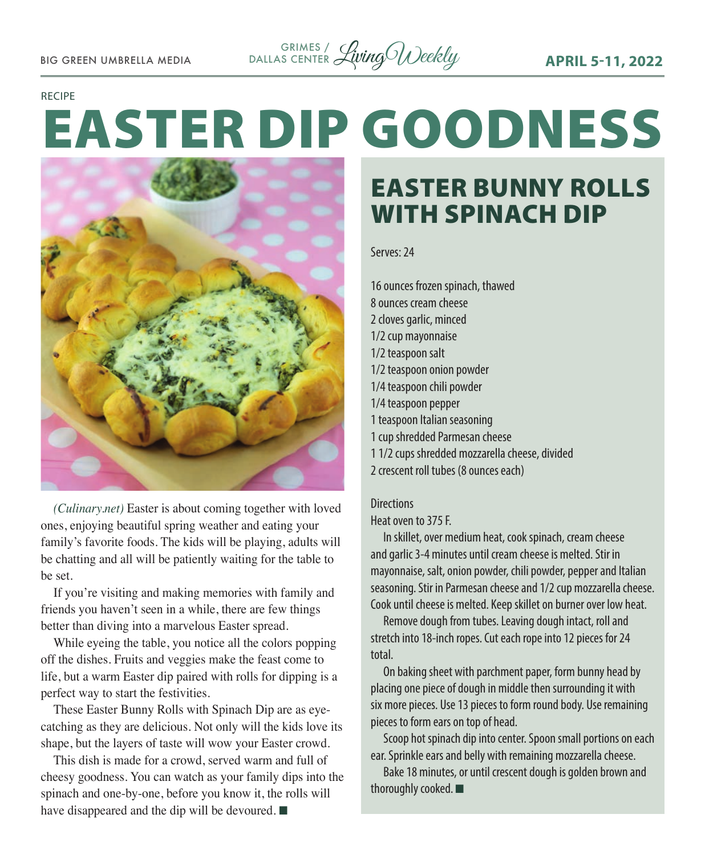

#### RECIPE

# EASTER DIP GOODNESS



*(Culinary.net)* Easter is about coming together with loved ones, enjoying beautiful spring weather and eating your family's favorite foods. The kids will be playing, adults will be chatting and all will be patiently waiting for the table to be set.

If you're visiting and making memories with family and friends you haven't seen in a while, there are few things better than diving into a marvelous Easter spread.

While eyeing the table, you notice all the colors popping off the dishes. Fruits and veggies make the feast come to life, but a warm Easter dip paired with rolls for dipping is a perfect way to start the festivities.

These Easter Bunny Rolls with Spinach Dip are as eyecatching as they are delicious. Not only will the kids love its shape, but the layers of taste will wow your Easter crowd.

This dish is made for a crowd, served warm and full of cheesy goodness. You can watch as your family dips into the spinach and one-by-one, before you know it, the rolls will have disappeared and the dip will be devoured.  $\blacksquare$ 

### EASTER BUNNY ROLLS WITH SPINACH DIP

Serves: 24

16 ounces frozen spinach, thawed 8 ounces cream cheese 2 cloves garlic, minced 1/2 cup mayonnaise 1/2 teaspoon salt 1/2 teaspoon onion powder 1/4 teaspoon chili powder 1/4 teaspoon pepper 1 teaspoon Italian seasoning 1 cup shredded Parmesan cheese 1 1/2 cups shredded mozzarella cheese, divided 2 crescent roll tubes (8 ounces each)

#### **Directions**

Heat oven to 375 F.

In skillet, over medium heat, cook spinach, cream cheese and garlic 3-4 minutes until cream cheese is melted. Stir in mayonnaise, salt, onion powder, chili powder, pepper and Italian seasoning. Stir in Parmesan cheese and 1/2 cup mozzarella cheese. Cook until cheese is melted. Keep skillet on burner over low heat.

Remove dough from tubes. Leaving dough intact, roll and stretch into 18-inch ropes. Cut each rope into 12 pieces for 24 total.

On baking sheet with parchment paper, form bunny head by placing one piece of dough in middle then surrounding it with six more pieces. Use 13 pieces to form round body. Use remaining pieces to form ears on top of head.

Scoop hot spinach dip into center. Spoon small portions on each ear. Sprinkle ears and belly with remaining mozzarella cheese.

Bake 18 minutes, or until crescent dough is golden brown and thoroughly cooked.  $\blacksquare$